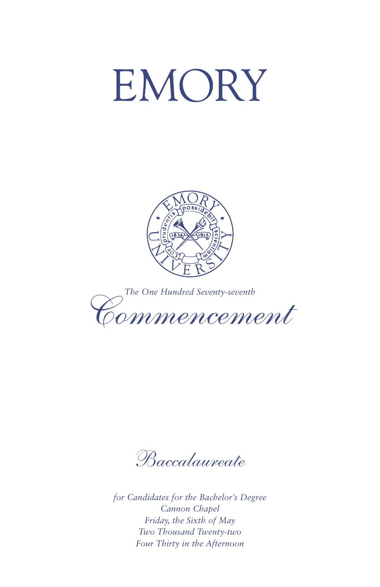# EMORY





*Baccalaureate*

*for Candidates for the Bachelor's Degree Cannon Chapel Friday, the Sixth of May Two Thousand Twenty-two Four Thirty in the Afternoon*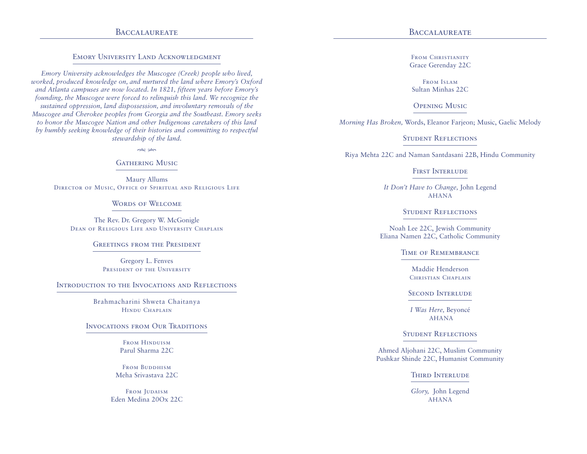# BACCALAUREATE BACCALAUREATE

# Emory University Land Acknowledgment

*Emory University acknowledges the Muscogee (Creek) people who lived, worked, produced knowledge on, and nurtured the land where Emory's Oxford and Atlanta campuses are now located. In 1821, fifteen years before Emory's founding, the Muscogee were forced to relinquish this land. We recognize the sustained oppression, land dispossession, and involuntary removals of the Muscogee and Cherokee peoples from Georgia and the Southeast. Emory seeks to honor the Muscogee Nation and other Indigenous caretakers of this land by humbly seeking knowledge of their histories and committing to respectful stewardship of the land.*

 $*$ 

# **GATHERING MUSIC**

Maury Allums Director of Music, Office of Spiritual and Religious Life

# WORDS OF WELCOME

The Rev. Dr. Gregory W. McGonigle Dean of Religious Life and University Chaplain

#### Greetings from the President

Gregory L. Fenves PRESIDENT OF THE UNIVERSITY

#### Introduction to the Invocations and Reflections

Brahmacharini Shweta Chaitanya Hindu Chaplain

# Invocations from Our Traditions

FROM HINDUISM Parul Sharma 22C

FROM BUDDHISM Meha Srivastava 22C

FROM JUDAISM Eden Medina 20Ox 22C

FROM CHRISTIANITY Grace Gerenday 22C

From Islam Sultan Minhas 22C

# Opening Music

*Morning Has Broken,* Words, Eleanor Farjeon; Music, Gaelic Melody

# Student Reflections

Riya Mehta 22C and Naman Santdasani 22B, Hindu Community

#### FIRST INTERLUDE

*It Don't Have to Change,* John Legend AHANA

# STUDENT REFLECTIONS

Noah Lee 22C, Jewish Community Eliana Namen 22C, Catholic Community

### Time of Remembrance

Maddie Henderson CHRISTIAN CHAPLAIN

#### Second Interlude

*I Was Here,* Beyoncé AHANA

#### Student Reflections

Ahmed Aljohani 22C, Muslim Community Pushkar Shinde 22C, Humanist Community

**THIRD INTERLUDE** 

*Glory,* John Legend AHANA